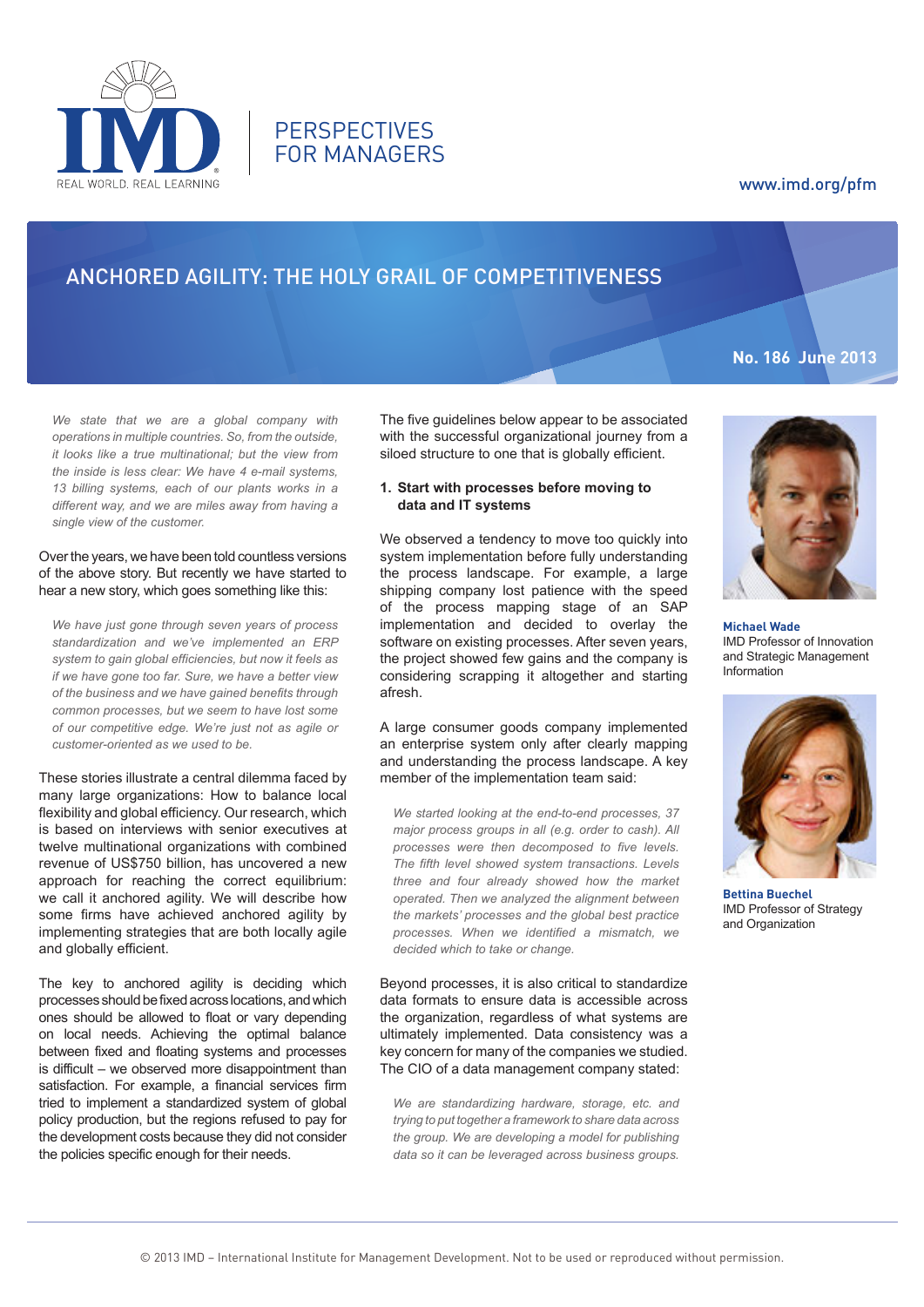

**PERSPECTIVES** FOR MANAGERS

## www.imd.org/pfm

**No. 186 June 2013**

# ANCHORED AGILITY: THE HOLY GRAIL OF COMPETITIVENESS

*We state that we are a global company with operations in multiple countries. So, from the outside, it looks like a true multinational; but the view from the inside is less clear: We have 4 e-mail systems, 13 billing systems, each of our plants works in a different way, and we are miles away from having a single view of the customer.* 

#### Over the years, we have been told countless versions of the above story. But recently we have started to hear a new story, which goes something like this:

*We have just gone through seven years of process standardization and we've implemented an ERP system to gain global efficiencies, but now it feels as if we have gone too far. Sure, we have a better view of the business and we have gained benefits through common processes, but we seem to have lost some of our competitive edge. We're just not as agile or customer-oriented as we used to be.*

These stories illustrate a central dilemma faced by many large organizations: How to balance local flexibility and global efficiency. Our research, which is based on interviews with senior executives at twelve multinational organizations with combined revenue of US\$750 billion, has uncovered a new approach for reaching the correct equilibrium: we call it anchored agility. We will describe how some firms have achieved anchored agility by implementing strategies that are both locally agile and globally efficient.

The key to anchored agility is deciding which processes should be fixed across locations, and which ones should be allowed to float or vary depending on local needs. Achieving the optimal balance between fixed and floating systems and processes is difficult – we observed more disappointment than satisfaction. For example, a financial services firm tried to implement a standardized system of global policy production, but the regions refused to pay for the development costs because they did not consider the policies specific enough for their needs.

The five guidelines below appear to be associated with the successful organizational journey from a siloed structure to one that is globally efficient.

#### **1. Start with processes before moving to data and IT systems**

We observed a tendency to move too quickly into system implementation before fully understanding the process landscape. For example, a large shipping company lost patience with the speed of the process mapping stage of an SAP implementation and decided to overlay the software on existing processes. After seven years, the project showed few gains and the company is considering scrapping it altogether and starting afresh.

A large consumer goods company implemented an enterprise system only after clearly mapping and understanding the process landscape. A key member of the implementation team said:

*We started looking at the end-to-end processes, 37 major process groups in all (e.g. order to cash). All processes were then decomposed to five levels. The fifth level showed system transactions. Levels three and four already showed how the market operated. Then we analyzed the alignment between the markets' processes and the global best practice processes. When we identified a mismatch, we decided which to take or change.*

Beyond processes, it is also critical to standardize data formats to ensure data is accessible across the organization, regardless of what systems are ultimately implemented. Data consistency was a key concern for many of the companies we studied. The CIO of a data management company stated:

*We are standardizing hardware, storage, etc. and trying to put together a framework to share data across the group. We are developing a model for publishing data so it can be leveraged across business groups.* 



**Michael Wade** IMD Professor of Innovation and Strategic Management Information



**Bettina Buechel** IMD Professor of Strategy and Organization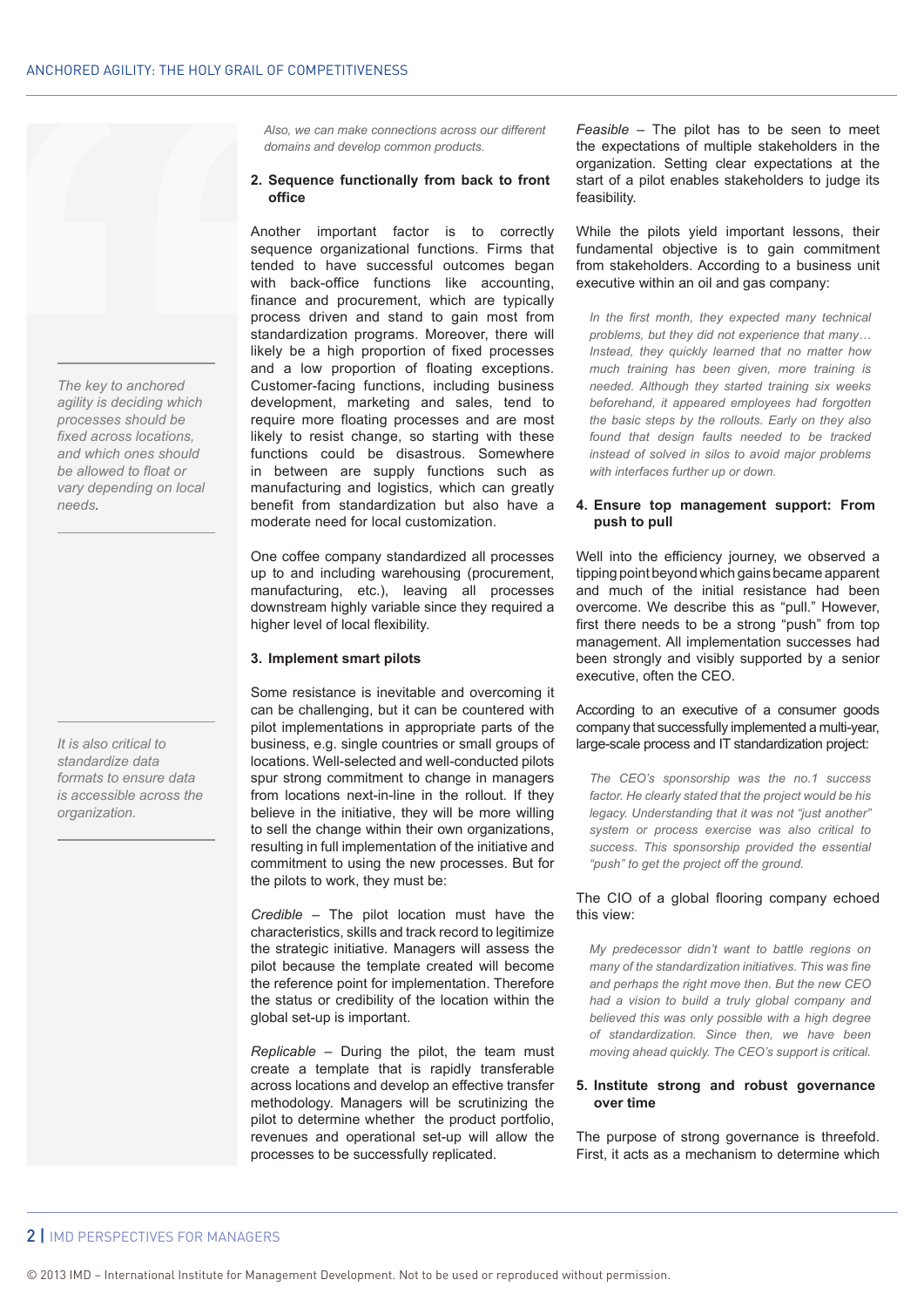*The key to anchored agility is deciding which processes should be fixed across locations, and which ones should be allowed to float or vary depending on local needs.*

*It is also critical to standardize data formats to ensure data is accessible across the organization.*

*Also, we can make connections across our different domains and develop common products.*

#### **2. Sequence functionally from back to front office**

Another important factor is to correctly sequence organizational functions. Firms that tended to have successful outcomes began with back-office functions like accounting, finance and procurement, which are typically process driven and stand to gain most from standardization programs. Moreover, there will likely be a high proportion of fixed processes and a low proportion of floating exceptions. Customer-facing functions, including business development, marketing and sales, tend to require more floating processes and are most likely to resist change, so starting with these functions could be disastrous. Somewhere in between are supply functions such as manufacturing and logistics, which can greatly benefit from standardization but also have a moderate need for local customization.

One coffee company standardized all processes up to and including warehousing (procurement, manufacturing, etc.), leaving all processes downstream highly variable since they required a higher level of local flexibility.

## **3. Implement smart pilots**

Some resistance is inevitable and overcoming it can be challenging, but it can be countered with pilot implementations in appropriate parts of the business, e.g. single countries or small groups of locations. Well-selected and well-conducted pilots spur strong commitment to change in managers from locations next-in-line in the rollout. If they believe in the initiative, they will be more willing to sell the change within their own organizations, resulting in full implementation of the initiative and commitment to using the new processes. But for the pilots to work, they must be:

*Credible* – The pilot location must have the characteristics, skills and track record to legitimize the strategic initiative. Managers will assess the pilot because the template created will become the reference point for implementation. Therefore the status or credibility of the location within the global set-up is important.

*Replicable* – During the pilot, the team must create a template that is rapidly transferable across locations and develop an effective transfer methodology. Managers will be scrutinizing the pilot to determine whether the product portfolio, revenues and operational set-up will allow the processes to be successfully replicated.

*Feasible* – The pilot has to be seen to meet the expectations of multiple stakeholders in the organization. Setting clear expectations at the start of a pilot enables stakeholders to judge its feasibility.

While the pilots yield important lessons, their fundamental objective is to gain commitment from stakeholders. According to a business unit executive within an oil and gas company:

*In the first month, they expected many technical problems, but they did not experience that many… Instead, they quickly learned that no matter how much training has been given, more training is needed. Although they started training six weeks beforehand, it appeared employees had forgotten the basic steps by the rollouts. Early on they also found that design faults needed to be tracked instead of solved in silos to avoid major problems with interfaces further up or down.*

### **4. Ensure top management support: From push to pull**

Well into the efficiency journey, we observed a tipping point beyond which gains became apparent and much of the initial resistance had been overcome. We describe this as "pull." However, first there needs to be a strong "push" from top management. All implementation successes had been strongly and visibly supported by a senior executive, often the CEO.

According to an executive of a consumer goods company that successfully implemented a multi-year, large-scale process and IT standardization project:

*The CEO's sponsorship was the no.1 success factor. He clearly stated that the project would be his legacy. Understanding that it was not "just another" system or process exercise was also critical to success. This sponsorship provided the essential "push" to get the project off the ground.*

#### The CIO of a global flooring company echoed this view:

*My predecessor didn't want to battle regions on many of the standardization initiatives. This was fine and perhaps the right move then. But the new CEO had a vision to build a truly global company and believed this was only possible with a high degree of standardization. Since then, we have been moving ahead quickly. The CEO's support is critical.*

#### **5. Institute strong and robust governance over time**

The purpose of strong governance is threefold. First, it acts as a mechanism to determine which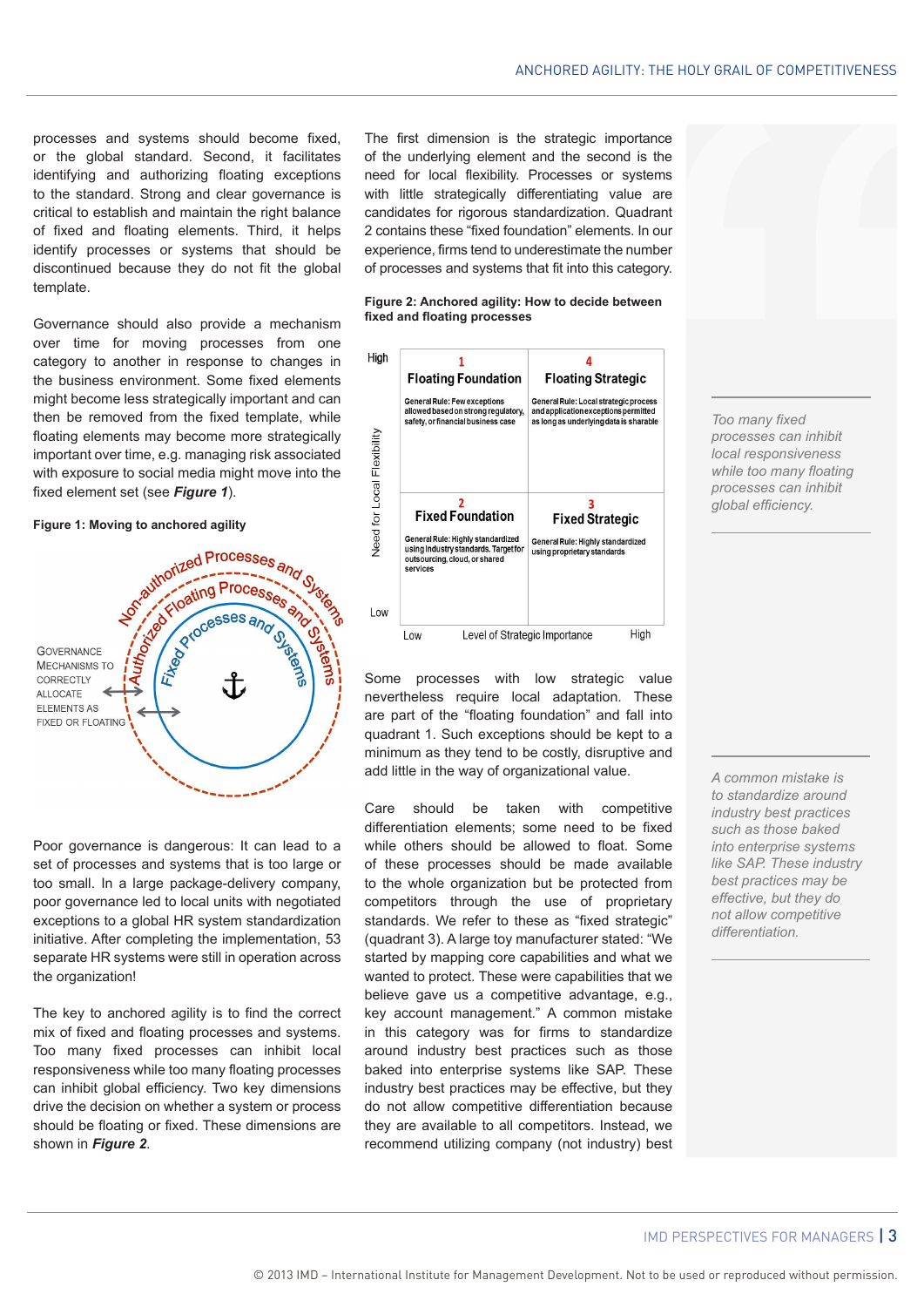processes and systems should become fixed, or the global standard. Second, it facilitates identifying and authorizing floating exceptions to the standard. Strong and clear governance is critical to establish and maintain the right balance of fixed and floating elements. Third, it helps identify processes or systems that should be discontinued because they do not fit the global template.

Governance should also provide a mechanism over time for moving processes from one category to another in response to changes in the business environment. Some fixed elements might become less strategically important and can then be removed from the fixed template, while floating elements may become more strategically important over time, e.g. managing risk associated with exposure to social media might move into the fixed element set (see *Figure 1*).

#### **Figure 1: Moving to anchored agility**



Poor governance is dangerous: It can lead to a set of processes and systems that is too large or too small. In a large package-delivery company, poor governance led to local units with negotiated exceptions to a global HR system standardization initiative. After completing the implementation, 53 separate HR systems were still in operation across the organization!

The key to anchored agility is to find the correct mix of fixed and floating processes and systems. Too many fixed processes can inhibit local responsiveness while too many floating processes can inhibit global efficiency. Two key dimensions drive the decision on whether a system or process should be floating or fixed. These dimensions are shown in *Figure 2*.

The first dimension is the strategic importance of the underlying element and the second is the need for local flexibility. Processes or systems with little strategically differentiating value are candidates for rigorous standardization. Quadrant 2 contains these "fixed foundation" elements. In our experience, firms tend to underestimate the number of processes and systems that fit into this category.

#### **Figure 2: Anchored agility: How to decide between fixed and floating processes**



Some processes with low strategic value nevertheless require local adaptation. These are part of the "floating foundation" and fall into quadrant 1. Such exceptions should be kept to a minimum as they tend to be costly, disruptive and add little in the way of organizational value.

Care should be taken with competitive differentiation elements; some need to be fixed while others should be allowed to float. Some of these processes should be made available to the whole organization but be protected from competitors through the use of proprietary standards. We refer to these as "fixed strategic" (quadrant 3). A large toy manufacturer stated: "We started by mapping core capabilities and what we wanted to protect. These were capabilities that we believe gave us a competitive advantage, e.g., key account management." A common mistake in this category was for firms to standardize around industry best practices such as those baked into enterprise systems like SAP. These industry best practices may be effective, but they do not allow competitive differentiation because they are available to all competitors. Instead, we recommend utilizing company (not industry) best

*Too many fixed processes can inhibit local responsiveness while too many floating processes can inhibit global efficiency.* 

*A common mistake is to standardize around industry best practices such as those baked into enterprise systems like SAP. These industry best practices may be effective, but they do not allow competitive differentiation.*